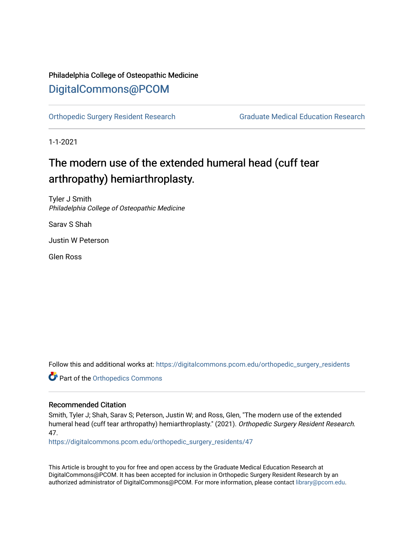# Philadelphia College of Osteopathic Medicine [DigitalCommons@PCOM](https://digitalcommons.pcom.edu/)

[Orthopedic Surgery Resident Research](https://digitalcommons.pcom.edu/orthopedic_surgery_residents) [Graduate Medical Education Research](https://digitalcommons.pcom.edu/graduate_medical_education_research) 

1-1-2021

# The modern use of the extended humeral head (cuff tear arthropathy) hemiarthroplasty.

Tyler J Smith Philadelphia College of Osteopathic Medicine

Sarav S Shah

Justin W Peterson

Glen Ross

Follow this and additional works at: [https://digitalcommons.pcom.edu/orthopedic\\_surgery\\_residents](https://digitalcommons.pcom.edu/orthopedic_surgery_residents?utm_source=digitalcommons.pcom.edu%2Forthopedic_surgery_residents%2F47&utm_medium=PDF&utm_campaign=PDFCoverPages) 

**Part of the [Orthopedics Commons](http://network.bepress.com/hgg/discipline/696?utm_source=digitalcommons.pcom.edu%2Forthopedic_surgery_residents%2F47&utm_medium=PDF&utm_campaign=PDFCoverPages)** 

# Recommended Citation

Smith, Tyler J; Shah, Sarav S; Peterson, Justin W; and Ross, Glen, "The modern use of the extended humeral head (cuff tear arthropathy) hemiarthroplasty." (2021). Orthopedic Surgery Resident Research. 47.

[https://digitalcommons.pcom.edu/orthopedic\\_surgery\\_residents/47](https://digitalcommons.pcom.edu/orthopedic_surgery_residents/47?utm_source=digitalcommons.pcom.edu%2Forthopedic_surgery_residents%2F47&utm_medium=PDF&utm_campaign=PDFCoverPages)

This Article is brought to you for free and open access by the Graduate Medical Education Research at DigitalCommons@PCOM. It has been accepted for inclusion in Orthopedic Surgery Resident Research by an authorized administrator of DigitalCommons@PCOM. For more information, please contact [library@pcom.edu](mailto:library@pcom.edu).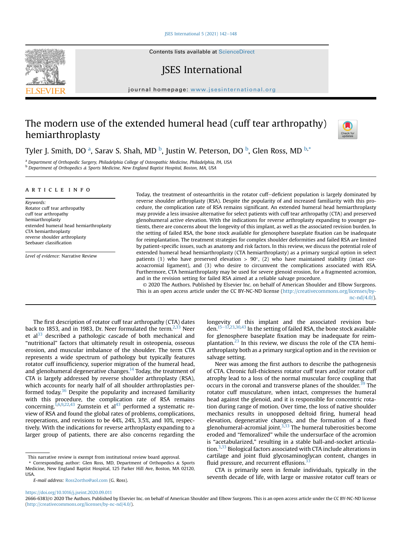ISES International  $5(2021)$   $142-148$  $142-148$ 

Contents lists available at ScienceDirect

# JSES International

journal homepage: [www.jsesinternational.org](http://www.jsesinternational.org)

# The modern use of the extended humeral head (cuff tear arthropathy) hemiarthroplasty



Tyler J. Smith, DO <sup>[a](#page-1-0)</sup>, Sarav S. Shah, MD <sup>[b](#page-1-1)</sup>, Justin W. Peterson, DO <sup>b</sup>, Glen Ross, MD <sup>b,[\\*](#page-1-2)</sup>

<span id="page-1-1"></span><span id="page-1-0"></span>a Department of Orthopedic Surgery, Philadelphia College of Osteopathic Medicine, Philadelphia, PA, USA b Department of Orthopedics & Sports Medicine, New England Baptist Hospital, Boston, MA, USA

### article info

Keywords: Rotator cuff tear arthropathy cuff tear arthropathy hemiarthroplasty extended humeral head hemiarthroplasty CTA hemiarthroplasty reverse shoulder arthroplasty Seebauer classification

Level of evidence: Narrative Review

Today, the treatment of osteoarthritis in the rotator cuff-deficient population is largely dominated by reverse shoulder arthroplasty (RSA). Despite the popularity of and increased familiarity with this procedure, the complication rate of RSA remains significant. An extended humeral head hemiarthroplasty may provide a less invasive alternative for select patients with cuff tear arthropathy (CTA) and preserved glenohumeral active elevation. With the indications for reverse arthroplasty expanding to younger patients, there are concerns about the longevity of this implant, as well as the associated revision burden. In the setting of failed RSA, the bone stock available for glenosphere baseplate fixation can be inadequate for reimplantation. The treatment strategies for complex shoulder deformities and failed RSA are limited by patient-specific issues, such as anatomy and risk factors. In this review, we discuss the potential role of extended humeral head hemiarthroplasty (CTA hemiarthroplasty) as a primary surgical option in select patients (1) who have preserved elevation  $> 90^{\circ}$ , (2) who have maintained stability (intact coracoacromial ligament), and (3) who desire to circumvent the complications associated with RSA. Furthermore, CTA hemiarthroplasty may be used for severe glenoid erosion, for a fragmented acromion, and in the revision setting for failed RSA aimed at a reliable salvage procedure.

© 2020 The Authors. Published by Elsevier Inc. on behalf of American Shoulder and Elbow Surgeons. This is an open access article under the CC BY-NC-ND license [\(http://creativecommons.org/licenses/by](http://creativecommons.org/licenses/by-nc-nd/4.0/)[nc-nd/4.0/](http://creativecommons.org/licenses/by-nc-nd/4.0/)).

The first description of rotator cuff tear arthropathy (CTA) dates back to 1853, and in 1983, Dr. Neer formulated the term. $2,33$  $2,33$  $2,33$  Neer et  $al^{33}$  $al^{33}$  $al^{33}$  described a pathologic cascade of both mechanical and "nutritional" factors that ultimately result in osteopenia, osseous erosion, and muscular imbalance of the shoulder. The term CTA represents a wide spectrum of pathology but typically features rotator cuff insufficiency, superior migration of the humeral head, and glenohumeral degenerative changes.<sup>14</sup> Today, the treatment of CTA is largely addressed by reverse shoulder arthroplasty (RSA), which accounts for nearly half of all shoulder arthroplasties performed today. $36$  Despite the popularity and increased familiarity with this procedure, the complication rate of RSA remains concerning.<sup>[1,6,9,22,43](#page-7-0)</sup> Zumstein et al<sup>[43](#page-7-0)</sup> performed a systematic review of RSA and found the global rates of problems, complications, reoperations, and revisions to be 44%, 24%, 3.5%, and 10%, respectively. With the indications for reverse arthroplasty expanding to a larger group of patients, there are also concerns regarding the

longevity of this implant and the associated revision bur-den.<sup>[15](#page-7-0)–[17,23,30](#page-7-0),[43](#page-7-0)</sup> In the setting of failed RSA, the bone stock available for glenosphere baseplate fixation may be inadequate for reimplantation. $^{23}$  $^{23}$  $^{23}$  In this review, we discuss the role of the CTA hemiarthroplasty both as a primary surgical option and in the revision or salvage setting.

Neer was among the first authors to describe the pathogenesis of CTA. Chronic full-thickness rotator cuff tears and/or rotator cuff atrophy lead to a loss of the normal muscular force coupling that occurs in the coronal and transverse planes of the shoulder.<sup>[39](#page-7-0)</sup> The rotator cuff musculature, when intact, compresses the humeral head against the glenoid, and it is responsible for concentric rotation during range of motion. Over time, the loss of native shoulder mechanics results in unopposed deltoid firing, humeral head elevation, degenerative changes, and the formation of a fixed glenohumeral-acromial joint.<sup>[3,33](#page-7-0)</sup> The humeral tuberosities become eroded and "femoralized" while the undersurface of the acromion is "acetabularized," resulting in a stable ball-and-socket articulation.[3](#page-7-0),[33](#page-7-0) Biological factors associated with CTA include alterations in cartilage and joint fluid glycosaminoglycan content, changes in fluid pressure, and recurrent effusions.<sup>33</sup>

CTA is primarily seen in female individuals, typically in the seventh decade of life, with large or massive rotator cuff tears or

<https://doi.org/10.1016/j.jseint.2020.09.011>



This narrative review is exempt from institutional review board approval.

<span id="page-1-2"></span><sup>\*</sup> Corresponding author: Glen Ross, MD, Department of Orthopedics & Sports Medicine, New England Baptist Hospital, 125 Parker Hill Ave, Boston, MA 02120, USA.

E-mail address: [Ross2ortho@aol.com](mailto:Ross2ortho@aol.com) (G. Ross).

<sup>2666-6383/</sup>© 2020 The Authors. Published by Elsevier Inc. on behalf of American Shoulder and Elbow Surgeons. This is an open access article under the CC BY-NC-ND license [\(http://creativecommons.org/licenses/by-nc-nd/4.0/](http://creativecommons.org/licenses/by-nc-nd/4.0/)).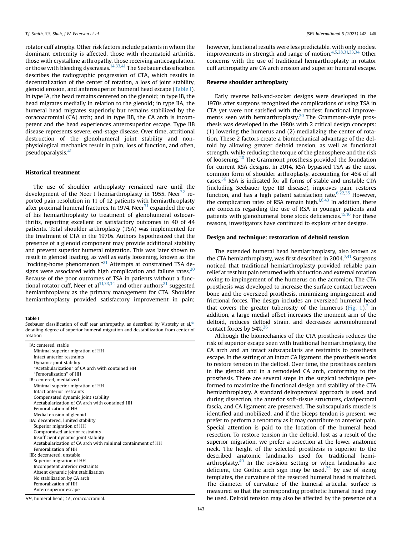rotator cuff atrophy. Other risk factors include patients in whom the dominant extremity is affected, those with rheumatoid arthritis, those with crystalline arthropathy, those receiving anticoagulation, or those with bleeding dyscrasias.<sup>[14,33](#page-7-0),[41](#page-7-0)</sup> The Seebauer classification describes the radiographic progression of CTA, which results in decentralization of the center of rotation, a loss of joint stability, glenoid erosion, and anterosuperior humeral head escape [\(Table I\)](#page-2-0). In type IA, the head remains centered on the glenoid; in type IB, the head migrates medially in relation to the glenoid; in type IIA, the humeral head migrates superiorly but remains stabilized by the coracoacromial (CA) arch; and in type IIB, the CA arch is incompetent and the head experiences anterosuperior escape. Type IIB disease represents severe, end-stage disease. Over time, attritional destruction of the glenohumeral joint stability and nonphysiological mechanics result in pain, loss of function, and often, pseudoparalysis.<sup>[41](#page-7-0)</sup>

# Historical treatment

The use of shoulder arthroplasty remained rare until the development of the Neer I hemiarthroplasty in 1955. Neer<sup>32</sup> reported pain resolution in 11 of 12 patients with hemiarthroplasty after proximal humeral fractures. In 1974, Neer $^{31}$  expanded the use of his hemiarthroplasty to treatment of glenohumeral osteoarthritis, reporting excellent or satisfactory outcomes in 40 of 44 patients. Total shoulder arthroplasty (TSA) was implemented for the treatment of CTA in the 1970s. Authors hypothesized that the presence of a glenoid component may provide additional stability and prevent superior humeral migration. This was later shown to result in glenoid loading, as well as early loosening, known as the "rocking-horse phenomenon."<sup>[21](#page-7-0)</sup> Attempts at constrained TSA designs were associated with high complication and failure rates. $20$ Because of the poor outcomes of TSA in patients without a functional rotator cuff, Neer et al $^{31,33,34}$  $^{31,33,34}$  $^{31,33,34}$  and other authors $^{21}$  $^{21}$  $^{21}$  suggested hemiarthroplasty as the primary management for CTA. Shoulder hemiarthroplasty provided satisfactory improvement in pain;

<span id="page-2-0"></span>Table I

Seebauer classification of cuff tear arthropathy, as described by Visotsky et al, $41$ detailing degree of superior humeral migration and destabilization from center of rotation

| IA: centered, stable                                        |
|-------------------------------------------------------------|
| Minimal superior migration of HH                            |
| Intact anterior restraints                                  |
| Dynamic joint stability                                     |
| "Acetabularization" of CA arch with contained HH            |
| "Femoralization" of HH                                      |
| IB: centered, medialized                                    |
| Minimal superior migration of HH                            |
| Intact anterior restraints                                  |
| Compensated dynamic joint stability                         |
| Acetabularization of CA arch with contained HH              |
| Femoralization of HH                                        |
| Medial erosion of glenoid                                   |
| IIA: decentered, limited stability                          |
| Superior migration of HH                                    |
| Compromised anterior restraints                             |
| Insufficient dynamic joint stability                        |
| Acetabularization of CA arch with minimal containment of HH |
| Femoralization of HH                                        |
| IIB: decentered, unstable                                   |
| Superior migration of HH                                    |
| Incompetent anterior restraints                             |
| Absent dynamic joint stabilization                          |
| No stabilization by CA arch                                 |
| Femoralization of HH                                        |
| Anterosuperior escape                                       |

HH, humeral head; CA, coracoacromial.

however, functional results were less predictable, with only modest improvements in strength and range of motion.  $4,5,28,31,33,34$  $4,5,28,31,33,34$  $4,5,28,31,33,34$  $4,5,28,31,33,34$  $4,5,28,31,33,34$  Other concerns with the use of traditional hemiarthroplasty in rotator cuff arthropathy are CA arch erosion and superior humeral escape.

# Reverse shoulder arthroplasty

Early reverse ball-and-socket designs were developed in the 1970s after surgeons recognized the complications of using TSA in CTA yet were not satisfied with the modest functional improve-ments seen with hemiarthroplasty.<sup>[20](#page-7-0)</sup> The Grammont-style prosthesis was developed in the 1980s with 2 critical design concepts: (1) lowering the humerus and (2) medializing the center of rotation. These 2 factors create a biomechanical advantage of the deltoid by allowing greater deltoid tension, as well as functional strength, while reducing the torque of the glenosphere and the risk of loosening.[20](#page-7-0) The Grammont prosthesis provided the foundation for current RSA designs. In 2014, RSA bypassed TSA as the most common form of shoulder arthroplasty, accounting for 46% of all cases[.36](#page-7-0) RSA is indicated for all forms of stable and unstable CTA (including Seebauer type IIB disease), improves pain, restores function, and has a high patient satisfaction rate. $6,22,35$  $6,22,35$  However, the complication rates of RSA remain high. $1,6,43$  $1,6,43$  $1,6,43$  In addition, there are concerns regarding the use of RSA in younger patients and patients with glenohumeral bone stock deficiencies.<sup>[15,16](#page-7-0)</sup> For these reasons, investigators have continued to explore other designs.

# Design and technique: restoration of deltoid tension

The extended humeral head hemiarthroplasty, also known as the CTA hemiarthroplasty, was first described in 2004.<sup>[7,41](#page-7-0)</sup> Surgeons noticed that traditional hemiarthroplasty provided reliable pain relief at rest but pain returned with abduction and external rotation owing to impingement of the humerus on the acromion. The CTA prosthesis was developed to increase the surface contact between bone and the oversized prosthesis, minimizing impingement and frictional forces. The design includes an oversized humeral head that covers the greater tuberosity of the humerus ([Fig. 1](#page-3-0)).<sup>[7](#page-7-0)</sup> In addition, a large medial offset increases the moment arm of the deltoid, reduces deltoid strain, and decreases acromiohumeral contact forces by  $54\%^{26}$  $54\%^{26}$  $54\%^{26}$ 

Although the biomechanics of the CTA prosthesis reduces the risk of superior escape seen with traditional hemiarthroplasty, the CA arch and an intact subscapularis are restraints to prosthesis escape. In the setting of an intact CA ligament, the prosthesis works to restore tension in the deltoid. Over time, the prosthesis centers in the glenoid and in a remodeled CA arch, conforming to the prosthesis. There are several steps in the surgical technique performed to maximize the functional design and stability of the CTA hemiarthroplasty. A standard deltopectoral approach is used, and during dissection, the anterior soft-tissue structures, clavipectoral fascia, and CA ligament are preserved. The subscapularis muscle is identified and mobilized, and if the biceps tendon is present, we prefer to perform a tenotomy as it may contribute to anterior pain. Special attention is paid to the location of the humeral head resection. To restore tension in the deltoid, lost as a result of the superior migration, we prefer a resection at the lower anatomic neck. The height of the selected prosthesis is superior to the described anatomic landmarks used for traditional hemiarthroplasty. $40$  In the revision setting or when landmarks are deficient, the Gothic arch sign may be used. $25$  By use of sizing templates, the curvature of the resected humeral head is matched. The diameter of curvature of the humeral articular surface is measured so that the corresponding prosthetic humeral head may be used. Deltoid tension may also be affected by the presence of a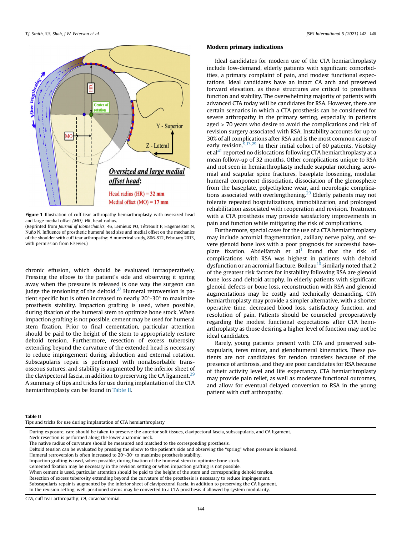<span id="page-3-0"></span>

Figure 1 Illustration of cuff tear arthropathy hemiarthroplasty with oversized head and large medial offset (MO). HR, head radius.

(Reprinted from Journal of Biomechanics, 46, Lemieux PO, Tetreault P, Hagemeister N, Nuño N, Influence of prosthetic humeral head size and medial offset on the mechanics of the shoulder with cuff tear arthropathy: A numerical study, 806-812, February 2013, with permission from Elsevier.)

chronic effusion, which should be evaluated intraoperatively. Pressing the elbow to the patient's side and observing it spring away when the pressure is released is one way the surgeon can judge the tensioning of the deltoid.<sup>[37](#page-7-0)</sup> Humeral retroversion is patient specific but is often increased to nearly  $20^{\circ}$ -30 $^{\circ}$  to maximize prosthesis stability. Impaction grafting is used, when possible, during fixation of the humeral stem to optimize bone stock. When impaction grafting is not possible, cement may be used for humeral stem fixation. Prior to final cementation, particular attention should be paid to the height of the stem to appropriately restore deltoid tension. Furthermore, resection of excess tuberosity extending beyond the curvature of the extended head is necessary to reduce impingement during abduction and external rotation. Subscapularis repair is performed with nonabsorbable transosseous sutures, and stability is augmented by the inferior sheet of the clavipectoral fascia, in addition to preserving the CA ligament.<sup>[29](#page-7-0)</sup> A summary of tips and tricks for use during implantation of the CTA hemiarthroplasty can be found in Table II.

## Modern primary indications

Ideal candidates for modern use of the CTA hemiarthroplasty include low-demand, elderly patients with significant comorbidities, a primary complaint of pain, and modest functional expectations. Ideal candidates have an intact CA arch and preserved forward elevation, as these structures are critical to prosthesis function and stability. The overwhelming majority of patients with advanced CTA today will be candidates for RSA. However, there are certain scenarios in which a CTA prosthesis can be considered for severe arthropathy in the primary setting, especially in patients aged > 70 years who desire to avoid the complications and risk of revision surgery associated with RSA. Instability accounts for up to 30% of all complications after RSA and is the most common cause of early revision. $\frac{9,13,29}{9}$  In their initial cohort of 60 patients, Visotsky et al $^{41}$  reported no dislocations following CTA hemiarthroplasty at a mean follow-up of 32 months. Other complications unique to RSA and not seen in hemiarthroplasty include scapular notching, acromial and scapular spine fractures, baseplate loosening, modular humeral component dissociation, dissociation of the glenosphere from the baseplate, polyethylene wear, and neurologic complica-tions associated with overlengthening.<sup>[29](#page-7-0)</sup> Elderly patients may not tolerate repeated hospitalizations, immobilization, and prolonged rehabilitation associated with reoperation and revision. Treatment with a CTA prosthesis may provide satisfactory improvements in pain and function while mitigating the risk of complications.

Furthermore, special cases for the use of a CTA hemiarthroplasty may include acromial fragmentation, axillary nerve palsy, and severe glenoid bone loss with a poor prognosis for successful baseplate fixation. Abdelfattah et  $al<sup>1</sup>$  $al<sup>1</sup>$  $al<sup>1</sup>$  found that the risk of complications with RSA was highest in patients with deltoid dysfunction or an acromial fracture. Boileau $10$  similarly noted that 2 of the greatest risk factors for instability following RSA are glenoid bone loss and deltoid atrophy. In elderly patients with significant glenoid defects or bone loss, reconstruction with RSA and glenoid augmentations may be costly and technically demanding. CTA hemiarthroplasty may provide a simpler alternative, with a shorter operative time, decreased blood loss, satisfactory function, and resolution of pain. Patients should be counseled preoperatively regarding the modest functional expectations after CTA hemiarthroplasty as those desiring a higher level of function may not be ideal candidates.

Rarely, young patients present with CTA and preserved subscapularis, teres minor, and glenohumeral kinematics. These patients are not candidates for tendon transfers because of the presence of arthrosis, and they are poor candidates for RSA because of their activity level and life expectancy. CTA hemiarthroplasty may provide pain relief, as well as moderate functional outcomes, and allow for eventual delayed conversion to RSA in the young patient with cuff arthropathy.

#### Table II

Tips and tricks for use during implantation of CTA hemiarthroplasty

Humeral retroversion is often increased to  $20^{\circ}$ -30 $^{\circ}$  to maximize prosthesis stability.

When cement is used, particular attention should be paid to the height of the stem and corresponding deltoid tension. Resection of excess tuberosity extending beyond the curvature of the prosthesis is necessary to reduce impingement.

Subscapularis repair is augmented by the inferior sheet of clavipectoral fascia, in addition to preserving the CA ligament.

In the revision setting, well-positioned stems may be converted to a CTA prosthesis if allowed by system modularity.

CTA, cuff tear arthropathy; CA, coracoacromial.

During exposure, care should be taken to preserve the anterior soft tissues, clavipectoral fascia, subscapularis, and CA ligament.

Neck resection is performed along the lower anatomic neck.

The native radius of curvature should be measured and matched to the corresponding prosthesis.

Deltoid tension can be evaluated by pressing the elbow to the patient's side and observing the "spring" when pressure is released.

Impaction grafting is used, when possible, during fixation of the humeral stem to optimize bone stock.

Cemented fixation may be necessary in the revision setting or when impaction grafting is not possible.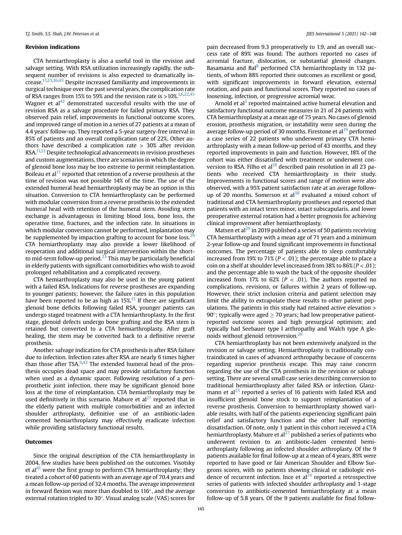# Revision indications

CTA hemiarthroplasty is also a useful tool in the revision and salvage setting. With RSA utilization increasingly rapidly, the subsequent number of revisions is also expected to dramatically increase[.17,23](#page-7-0),[36,43](#page-7-0) Despite increased familiarity and improvements in surgical technique over the past several years, the complication rate of RSA ranges from 15% to 59% and the revision rate is  $>10\%$ .<sup>1,6,22,[43](#page-7-0)</sup> Wagner et  $al<sup>42</sup>$  $al<sup>42</sup>$  $al<sup>42</sup>$  demonstrated successful results with the use of revision RSA as a salvage procedure for failed primary RSA. They observed pain relief, improvements in functional outcome scores, and improved range of motion in a series of 27 patients at a mean of 4.4 years' follow-up. They reported a 5-year surgery-free interval in 85% of patients and an overall complication rate of 22%. Other authors have described a complication rate > 30% after revision RSA[.11,13](#page-7-0) Despite technological advancements in revision prostheses and custom augmentations, there are scenarios in which the degree of glenoid bone loss may be too extreme to permit reimplantation. Boileau et  $al<sup>11</sup>$  $al<sup>11</sup>$  $al<sup>11</sup>$  reported that retention of a reverse prosthesis at the time of revision was not possible 14% of the time. The use of the extended humeral head hemiarthroplasty may be an option in this situation. Conversion to CTA hemiarthroplasty can be performed with modular conversion from a reverse prosthesis to the extended humeral head with retention of the humeral stem. Avoiding stem exchange is advantageous in limiting blood loss, bone loss, the operative time, fractures, and the infection rate. In situations in which modular conversion cannot be performed, implantation may be supplemented by impaction grafting to account for bone loss.<sup>2</sup> CTA hemiarthroplasty may also provide a lower likelihood of reoperation and additional surgical intervention within the shortto mid-term follow-up period. $^{23}$  $^{23}$  $^{23}$  This may be particularly beneficial in elderly patients with significant comorbidities who wish to avoid prolonged rehabilitation and a complicated recovery.

CTA hemiarthroplasty may also be used in the young patient with a failed RSA. Indications for reverse prostheses are expanding to younger patients; however, the failure rates in this population have been reported to be as high as  $15\frac{\text{m}}{\text{s}}$  $15\frac{\text{m}}{\text{s}}$  If there are significant glenoid bone deficits following failed RSA, younger patients can undergo staged treatment with a CTA hemiarthroplasty. In the first stage, glenoid defects undergo bone grafting and the RSA stem is retained but converted to a CTA hemiarthroplasty. After graft healing, the stem may be converted back to a definitive reverse prosthesis.

Another salvage indication for CTA prosthesis is after RSA failure due to infection. Infection rates after RSA are nearly 6 times higher than those after TSA. $9,43$  $9,43$  $9,43$  The extended humeral head of the prosthesis occupies dead space and may provide satisfactory function when used as a dynamic spacer. Following resolution of a periprosthetic joint infection, there may be significant glenoid bone loss at the time of reimplantation. CTA hemiarthroplasty may be used definitively in this scenario. Mahure et  $al^{27}$  $al^{27}$  $al^{27}$  reported that in the elderly patient with multiple comorbidities and an infected shoulder arthroplasty, definitive use of an antibiotic-laden cemented hemiarthroplasty may effectively eradicate infection while providing satisfactory functional results.

## **Outcomes**

Since the original description of the CTA hemiarthroplasty in 2004, few studies have been published on the outcomes. Visotsky et al<sup>[41](#page-7-0)</sup> were the first group to perform CTA hemiarthroplasty; they treated a cohort of 60 patients with an average age of 70.4 years and a mean follow-up period of 32.4 months. The average improvement in forward flexion was more than doubled to  $116^{\circ}$ , and the average external rotation tripled to  $30^\circ$ . Visual analog scale (VAS) scores for

pain decreased from 9.3 preoperatively to 1.9, and an overall success rate of 89% was found. The authors reported no cases of acromial fracture, dislocation, or substantial glenoid changes. Basamania and Bal<sup>[8](#page-7-0)</sup> performed CTA hemiarthroplasty in 132 patients, of whom 88% reported their outcomes as excellent or good, with significant improvements in forward elevation, external rotation, and pain and functional scores. They reported no cases of loosening, infection, or progressive acromial wear.

Arnold et al<sup>[3](#page-7-0)</sup> reported maintained active humeral elevation and satisfactory functional outcome measures in 21 of 24 patients with CTA hemiarthroplasty at a mean age of 75 years. No cases of glenoid erosion, prosthesis migration, or instability were seen during the average follow-up period of 30 months. Firestone et al<sup>[19](#page-7-0)</sup> performed a case series of 22 patients who underwent primary CTA hemiarthroplasty with a mean follow-up period of 43 months, and they reported improvements in pain and function. However, 18% of the cohort was either dissatisfied with treatment or underwent con-version to RSA. Filho et al<sup>[18](#page-7-0)</sup> described pain resolution in all 23 patients who received CTA hemiarthroplasty in their study. Improvements in functional scores and range of motion were also observed, with a 95% patient satisfaction rate at an average followup of 20 months. Somerson et  $al<sup>38</sup>$  $al<sup>38</sup>$  $al<sup>38</sup>$  evaluated a mixed cohort of traditional and CTA hemiarthroplasty prostheses and reported that patients with an intact teres minor, intact subscapularis, and lower preoperative external rotation had a better prognosis for achieving clinical improvement after hemiarthroplasty.

Matsen et al<sup>[29](#page-7-0)</sup> in 2019 published a series of 50 patients receiving CTA hemiarthroplasty with a mean age of 71 years and a minimum 2-year follow-up and found significant improvements in functional outcomes. The percentage of patients able to sleep comfortably increased from 19% to 71% ( $P < .01$ ); the percentage able to place a coin on a shelf at shoulder level increased from 38% to  $86\% (P < .01)$ ; and the percentage able to wash the back of the opposite shoulder increased from 17% to 62% ( $P < .01$ ). The authors reported no complications, revisions, or failures within 2 years of follow-up. However, their strict inclusion criteria and patient selection may limit the ability to extrapolate these results to other patient populations. The patients in this study had retained active elevation > 90 $\degree$ ; typically were aged  $\geq$  70 years; had low preoperative patientreported outcome scores and high presurgical optimism; and typically had Seebauer type I arthropathy and Walch type A glenoids without glenoid retroversion. $2<sup>9</sup>$ 

CTA hemiarthroplasty has not been extensively analyzed in the revision or salvage setting. Hemiarthroplasty is traditionally contraindicated in cases of advanced arthropathy because of concerns regarding superior prosthesis escape. This may raise concern regarding the use of the CTA prosthesis in the revision or salvage setting. There are several small case series describing conversion to traditional hemiarthroplasty after failed RSA or infection. Glanzmann et al $^{23}$  $^{23}$  $^{23}$  reported a series of 16 patients with failed RSA and insufficient glenoid bone stock to support reimplantation of a reverse prosthesis. Conversion to hemiarthroplasty showed variable results, with half of the patients experiencing significant pain relief and satisfactory function and the other half reporting dissatisfaction. Of note, only 1 patient in this cohort received a CTA hemiarthroplasty. Mahure et al<sup>27</sup> published a series of patients who underwent revision to an antibiotic-laden cemented hemiarthroplasty following an infected shoulder arthroplasty. Of the 9 patients available for final follow-up at a mean of 4 years, 89% were reported to have good or fair American Shoulder and Elbow Surgeons scores, with no patients showing clinical or radiologic evidence of recurrent infection. Ince et  $al<sup>24</sup>$  reported a retrospective series of patients with infected shoulder arthroplasty and 1-stage conversion to antibiotic-cemented hemiarthroplasty at a mean follow-up of 5.8 years. Of the 9 patients available for final follow-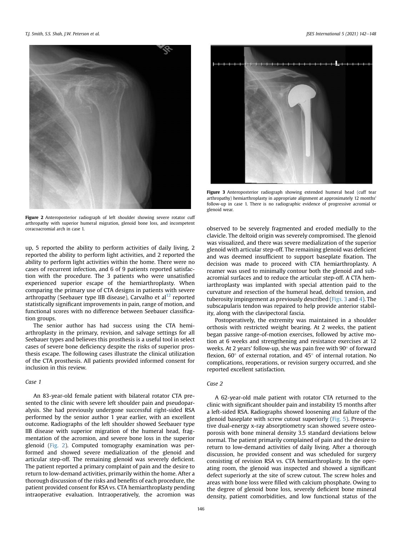

Figure 2 Anteroposterior radiograph of left shoulder showing severe rotator cuff arthropathy with superior humeral migration, glenoid bone loss, and incompetent coracoacromial arch in case 1.

up, 5 reported the ability to perform activities of daily living, 2 reported the ability to perform light activities, and 2 reported the ability to perform light activities within the home. There were no cases of recurrent infection, and 6 of 9 patients reported satisfaction with the procedure. The 3 patients who were unsatisfied experienced superior escape of the hemiarthroplasty. When comparing the primary use of CTA designs in patients with severe arthropathy (Seebauer type IIB disease), Carvalho et al<sup>[12](#page-7-0)</sup> reported statistically significant improvements in pain, range of motion, and functional scores with no difference between Seebauer classification groups.

The senior author has had success using the CTA hemiarthroplasty in the primary, revision, and salvage settings for all Seebauer types and believes this prosthesis is a useful tool in select cases of severe bone deficiency despite the risks of superior prosthesis escape. The following cases illustrate the clinical utilization of the CTA prosthesis. All patients provided informed consent for inclusion in this review.

## Case 1

An 83-year-old female patient with bilateral rotator CTA presented to the clinic with severe left shoulder pain and pseudoparalysis. She had previously undergone successful right-sided RSA performed by the senior author 1 year earlier, with an excellent outcome. Radiographs of the left shoulder showed Seebauer type IIB disease with superior migration of the humeral head, fragmentation of the acromion, and severe bone loss in the superior glenoid (Fig. 2). Computed tomography examination was performed and showed severe medialization of the glenoid and articular step-off. The remaining glenoid was severely deficient. The patient reported a primary complaint of pain and the desire to return to low-demand activities, primarily within the home. After a thorough discussion of the risks and benefits of each procedure, the patient provided consent for RSA vs. CTA hemiarthroplasty pending intraoperative evaluation. Intraoperatively, the acromion was



Figure 3 Anteroposterior radiograph showing extended humeral head (cuff tear arthropathy) hemiarthroplasty in appropriate alignment at approximately 12 months' follow-up in case 1. There is no radiographic evidence of progressive acromial or glenoid wear.

observed to be severely fragmented and eroded medially to the clavicle. The deltoid origin was severely compromised. The glenoid was visualized, and there was severe medialization of the superior glenoid with articular step-off. The remaining glenoid was deficient and was deemed insufficient to support baseplate fixation. The decision was made to proceed with CTA hemiarthroplasty. A reamer was used to minimally contour both the glenoid and subacromial surfaces and to reduce the articular step-off. A CTA hemiarthroplasty was implanted with special attention paid to the curvature and resection of the humeral head, deltoid tension, and tuberosity impingement as previously described (Figs. 3 and [4](#page-6-0)). The subscapularis tendon was repaired to help provide anterior stability, along with the clavipectoral fascia.

Postoperatively, the extremity was maintained in a shoulder orthosis with restricted weight bearing. At 2 weeks, the patient began passive range-of-motion exercises, followed by active motion at 6 weeks and strengthening and resistance exercises at 12 weeks. At 2 years' follow-up, she was pain free with  $90^{\circ}$  of forward flexion,  $60^\circ$  of external rotation, and  $45^\circ$  of internal rotation. No complications, reoperations, or revision surgery occurred, and she reported excellent satisfaction.

# Case 2

A 62-year-old male patient with rotator CTA returned to the clinic with significant shoulder pain and instability 15 months after a left-sided RSA. Radiographs showed loosening and failure of the glenoid baseplate with screw cutout superiorly [\(Fig. 5\)](#page-6-0). Preoperative dual-energy x-ray absorptiometry scan showed severe osteoporosis with bone mineral density 3.5 standard deviations below normal. The patient primarily complained of pain and the desire to return to low-demand activities of daily living. After a thorough discussion, he provided consent and was scheduled for surgery consisting of revision RSA vs. CTA hemiarthroplasty. In the operating room, the glenoid was inspected and showed a significant defect superiorly at the site of screw cutout. The screw holes and areas with bone loss were filled with calcium phosphate. Owing to the degree of glenoid bone loss, severely deficient bone mineral density, patient comorbidities, and low functional status of the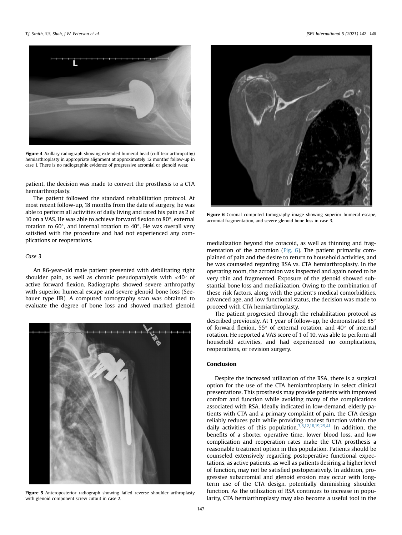<span id="page-6-0"></span>

Figure 4 Axillary radiograph showing extended humeral head (cuff tear arthropathy) hemiarthroplasty in appropriate alignment at approximately 12 months' follow-up in case 1. There is no radiographic evidence of progressive acromial or glenoid wear.

patient, the decision was made to convert the prosthesis to a CTA hemiarthroplasty.

The patient followed the standard rehabilitation protocol. At most recent follow-up, 18 months from the date of surgery, he was able to perform all activities of daily living and rated his pain as 2 of 10 on a VAS. He was able to achieve forward flexion to  $80^\circ$ , external rotation to  $60^\circ$ , and internal rotation to  $40^\circ$ . He was overall very satisfied with the procedure and had not experienced any complications or reoperations.

#### Case 3

An 86-year-old male patient presented with debilitating right shoulder pain, as well as chronic pseudoparalysis with  $\langle 40^\circ$  of active forward flexion. Radiographs showed severe arthropathy with superior humeral escape and severe glenoid bone loss (Seebauer type IIB). A computed tomography scan was obtained to evaluate the degree of bone loss and showed marked glenoid



Figure 5 Anteroposterior radiograph showing failed reverse shoulder arthroplasty with glenoid component screw cutout in case 2.



**Figure 6** Coronal computed tomography image showing superior humeral escape, acromial fragmentation, and severe glenoid bone loss in case 3.

medialization beyond the coracoid, as well as thinning and fragmentation of the acromion (Fig. 6). The patient primarily complained of pain and the desire to return to household activities, and he was counseled regarding RSA vs. CTA hemiarthroplasty. In the operating room, the acromion was inspected and again noted to be very thin and fragmented. Exposure of the glenoid showed substantial bone loss and medialization. Owing to the combination of these risk factors, along with the patient's medical comorbidities, advanced age, and low functional status, the decision was made to proceed with CTA hemiarthroplasty.

The patient progressed through the rehabilitation protocol as described previously. At 1 year of follow-up, he demonstrated 85 of forward flexion,  $55^{\circ}$  of external rotation, and  $40^{\circ}$  of internal rotation. He reported a VAS score of 1 of 10, was able to perform all household activities, and had experienced no complications, reoperations, or revision surgery.

# Conclusion

Despite the increased utilization of the RSA, there is a surgical option for the use of the CTA hemiarthroplasty in select clinical presentations. This prosthesis may provide patients with improved comfort and function while avoiding many of the complications associated with RSA. Ideally indicated in low-demand, elderly patients with CTA and a primary complaint of pain, the CTA design reliably reduces pain while providing modest function within the daily activities of this population.[3](#page-7-0),[8](#page-7-0),[12](#page-7-0),[18,19](#page-7-0),[29,41](#page-7-0) In addition, the benefits of a shorter operative time, lower blood loss, and low complication and reoperation rates make the CTA prosthesis a reasonable treatment option in this population. Patients should be counseled extensively regarding postoperative functional expectations, as active patients, as well as patients desiring a higher level of function, may not be satisfied postoperatively. In addition, progressive subacromial and glenoid erosion may occur with longterm use of the CTA design, potentially diminishing shoulder function. As the utilization of RSA continues to increase in popularity, CTA hemiarthroplasty may also become a useful tool in the